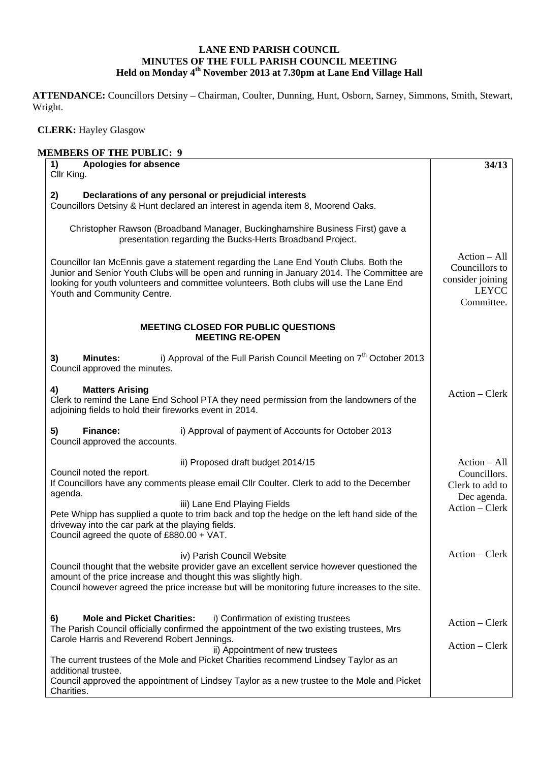## **LANE END PARISH COUNCIL MINUTES OF THE FULL PARISH COUNCIL MEETING Held on Monday 4th November 2013 at 7.30pm at Lane End Village Hall**

**ATTENDANCE:** Councillors Detsiny – Chairman, Coulter, Dunning, Hunt, Osborn, Sarney, Simmons, Smith, Stewart, Wright.

 **CLERK:** Hayley Glasgow

| <b>MEMBERS OF THE PUBLIC: 9</b>                                                                                                                                                                                                                                                                             |                                                                                    |
|-------------------------------------------------------------------------------------------------------------------------------------------------------------------------------------------------------------------------------------------------------------------------------------------------------------|------------------------------------------------------------------------------------|
| <b>Apologies for absence</b><br>1)<br>Cllr King.                                                                                                                                                                                                                                                            | 34/13                                                                              |
|                                                                                                                                                                                                                                                                                                             |                                                                                    |
| Declarations of any personal or prejudicial interests<br>2)<br>Councillors Detsiny & Hunt declared an interest in agenda item 8, Moorend Oaks.                                                                                                                                                              |                                                                                    |
| Christopher Rawson (Broadband Manager, Buckinghamshire Business First) gave a<br>presentation regarding the Bucks-Herts Broadband Project.                                                                                                                                                                  |                                                                                    |
| Councillor Ian McEnnis gave a statement regarding the Lane End Youth Clubs. Both the<br>Junior and Senior Youth Clubs will be open and running in January 2014. The Committee are<br>looking for youth volunteers and committee volunteers. Both clubs will use the Lane End<br>Youth and Community Centre. | $Action - All$<br>Councillors to<br>consider joining<br><b>LEYCC</b><br>Committee. |
| <b>MEETING CLOSED FOR PUBLIC QUESTIONS</b><br><b>MEETING RE-OPEN</b>                                                                                                                                                                                                                                        |                                                                                    |
| i) Approval of the Full Parish Council Meeting on 7 <sup>th</sup> October 2013<br><b>Minutes:</b><br>3)<br>Council approved the minutes.                                                                                                                                                                    |                                                                                    |
| <b>Matters Arising</b><br>4)<br>Clerk to remind the Lane End School PTA they need permission from the landowners of the<br>adjoining fields to hold their fireworks event in 2014.                                                                                                                          | Action – Clerk                                                                     |
| Finance:<br>i) Approval of payment of Accounts for October 2013<br>5)<br>Council approved the accounts.                                                                                                                                                                                                     |                                                                                    |
| ii) Proposed draft budget 2014/15                                                                                                                                                                                                                                                                           | $Action - All$                                                                     |
| Council noted the report.                                                                                                                                                                                                                                                                                   | Councillors.                                                                       |
| If Councillors have any comments please email Cllr Coulter. Clerk to add to the December<br>agenda.                                                                                                                                                                                                         | Clerk to add to<br>Dec agenda.                                                     |
| iii) Lane End Playing Fields                                                                                                                                                                                                                                                                                | Action – Clerk                                                                     |
| Pete Whipp has supplied a quote to trim back and top the hedge on the left hand side of the<br>driveway into the car park at the playing fields.<br>Council agreed the quote of £880.00 + VAT.                                                                                                              |                                                                                    |
| iv) Parish Council Website                                                                                                                                                                                                                                                                                  | Action – Clerk                                                                     |
| Council thought that the website provider gave an excellent service however questioned the<br>amount of the price increase and thought this was slightly high.<br>Council however agreed the price increase but will be monitoring future increases to the site.                                            |                                                                                    |
| <b>Mole and Picket Charities:</b><br>i) Confirmation of existing trustees<br>6)                                                                                                                                                                                                                             |                                                                                    |
| The Parish Council officially confirmed the appointment of the two existing trustees, Mrs                                                                                                                                                                                                                   | $Action - Clerk$                                                                   |
| Carole Harris and Reverend Robert Jennings.<br>ii) Appointment of new trustees                                                                                                                                                                                                                              | Action – Clerk                                                                     |
| The current trustees of the Mole and Picket Charities recommend Lindsey Taylor as an<br>additional trustee.                                                                                                                                                                                                 |                                                                                    |
| Council approved the appointment of Lindsey Taylor as a new trustee to the Mole and Picket<br>Charities.                                                                                                                                                                                                    |                                                                                    |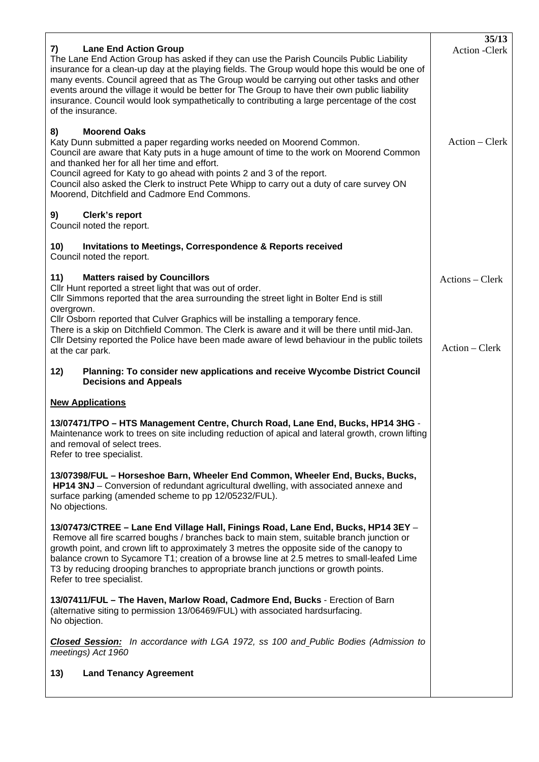| <b>Lane End Action Group</b><br>7)<br>The Lane End Action Group has asked if they can use the Parish Councils Public Liability<br>insurance for a clean-up day at the playing fields. The Group would hope this would be one of<br>many events. Council agreed that as The Group would be carrying out other tasks and other<br>events around the village it would be better for The Group to have their own public liability<br>insurance. Council would look sympathetically to contributing a large percentage of the cost<br>of the insurance. | 35/13<br>Action - Clerk |
|----------------------------------------------------------------------------------------------------------------------------------------------------------------------------------------------------------------------------------------------------------------------------------------------------------------------------------------------------------------------------------------------------------------------------------------------------------------------------------------------------------------------------------------------------|-------------------------|
| 8)<br><b>Moorend Oaks</b><br>Katy Dunn submitted a paper regarding works needed on Moorend Common.<br>Council are aware that Katy puts in a huge amount of time to the work on Moorend Common<br>and thanked her for all her time and effort.<br>Council agreed for Katy to go ahead with points 2 and 3 of the report.<br>Council also asked the Clerk to instruct Pete Whipp to carry out a duty of care survey ON<br>Moorend, Ditchfield and Cadmore End Commons.                                                                               | $Action - Clerk$        |
| Clerk's report<br>9)<br>Council noted the report.                                                                                                                                                                                                                                                                                                                                                                                                                                                                                                  |                         |
| <b>Invitations to Meetings, Correspondence &amp; Reports received</b><br>10)<br>Council noted the report.                                                                                                                                                                                                                                                                                                                                                                                                                                          |                         |
| 11)<br><b>Matters raised by Councillors</b><br>Cllr Hunt reported a street light that was out of order.<br>CIIr Simmons reported that the area surrounding the street light in Bolter End is still<br>overgrown.                                                                                                                                                                                                                                                                                                                                   | Actions – Clerk         |
| Cllr Osborn reported that Culver Graphics will be installing a temporary fence.<br>There is a skip on Ditchfield Common. The Clerk is aware and it will be there until mid-Jan.<br>Cllr Detsiny reported the Police have been made aware of lewd behaviour in the public toilets<br>at the car park.                                                                                                                                                                                                                                               | Action – Clerk          |
| Planning: To consider new applications and receive Wycombe District Council<br>12)<br><b>Decisions and Appeals</b>                                                                                                                                                                                                                                                                                                                                                                                                                                 |                         |
| <b>New Applications</b>                                                                                                                                                                                                                                                                                                                                                                                                                                                                                                                            |                         |
| 13/07471/TPO - HTS Management Centre, Church Road, Lane End, Bucks, HP14 3HG -<br>Maintenance work to trees on site including reduction of apical and lateral growth, crown lifting<br>and removal of select trees.<br>Refer to tree specialist.                                                                                                                                                                                                                                                                                                   |                         |
| 13/07398/FUL - Horseshoe Barn, Wheeler End Common, Wheeler End, Bucks, Bucks,<br>HP14 3NJ - Conversion of redundant agricultural dwelling, with associated annexe and<br>surface parking (amended scheme to pp 12/05232/FUL).<br>No objections.                                                                                                                                                                                                                                                                                                    |                         |
| 13/07473/CTREE - Lane End Village Hall, Finings Road, Lane End, Bucks, HP14 3EY -<br>Remove all fire scarred boughs / branches back to main stem, suitable branch junction or<br>growth point, and crown lift to approximately 3 metres the opposite side of the canopy to<br>balance crown to Sycamore T1; creation of a browse line at 2.5 metres to small-leafed Lime<br>T3 by reducing drooping branches to appropriate branch junctions or growth points.<br>Refer to tree specialist.                                                        |                         |
| 13/07411/FUL - The Haven, Marlow Road, Cadmore End, Bucks - Erection of Barn<br>(alternative siting to permission 13/06469/FUL) with associated hardsurfacing.<br>No objection.                                                                                                                                                                                                                                                                                                                                                                    |                         |
| <b>Closed Session:</b> In accordance with LGA 1972, ss 100 and Public Bodies (Admission to<br>meetings) Act 1960                                                                                                                                                                                                                                                                                                                                                                                                                                   |                         |
| 13)<br><b>Land Tenancy Agreement</b>                                                                                                                                                                                                                                                                                                                                                                                                                                                                                                               |                         |